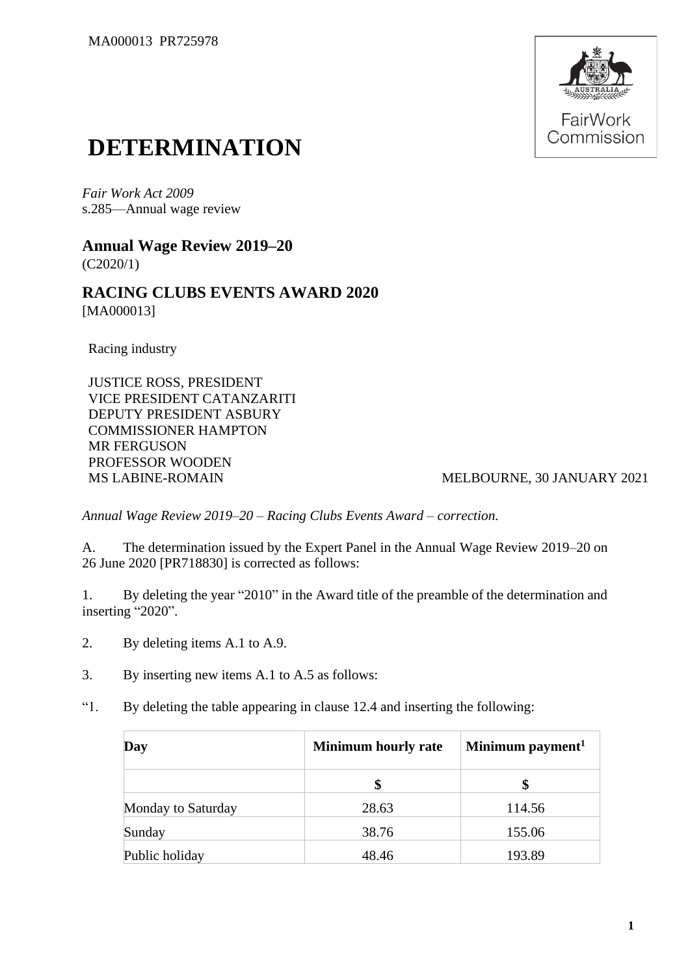

## **DETERMINATION**

*Fair Work Act 2009* s.285—Annual wage review

**Annual Wage Review 2019–20** (C2020/1)

**RACING CLUBS EVENTS AWARD 2020** [MA000013]

Racing industry

JUSTICE ROSS, PRESIDENT VICE PRESIDENT CATANZARITI DEPUTY PRESIDENT ASBURY COMMISSIONER HAMPTON MR FERGUSON PROFESSOR WOODEN MS LABINE-ROMAIN MELBOURNE, 30 JANUARY 2021

*Annual Wage Review 2019–20 – Racing Clubs Events Award – correction.*

A. The determination issued by the Expert Panel in the Annual Wage Review 2019–20 on 26 June 2020 [PR718830] is corrected as follows:

1. By deleting the year "2010" in the Award title of the preamble of the determination and inserting "2020".

- 2. By deleting items A.1 to A.9.
- 3. By inserting new items A.1 to A.5 as follows:
- "1. By deleting the table appearing in clause 12.4 and inserting the following:

| Day                | <b>Minimum hourly rate</b> | Minimum payment <sup>1</sup> |
|--------------------|----------------------------|------------------------------|
|                    |                            |                              |
| Monday to Saturday | 28.63                      | 114.56                       |
| Sunday             | 38.76                      | 155.06                       |
| Public holiday     | 48.46                      | 193.89                       |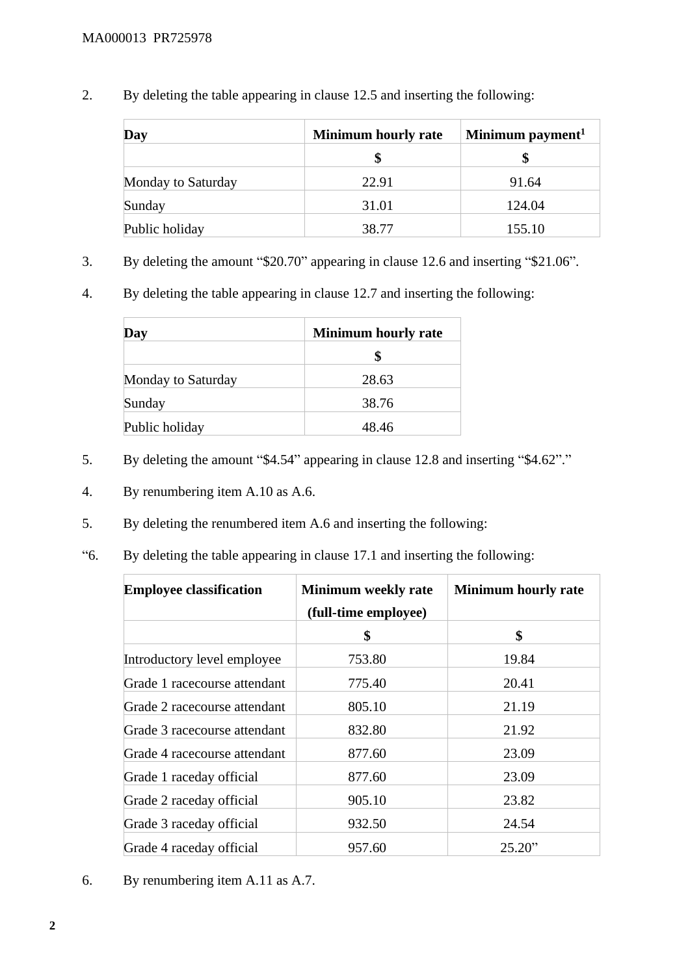2. By deleting the table appearing in clause 12.5 and inserting the following:

| Day                | <b>Minimum hourly rate</b> | Minimum payment <sup>1</sup> |  |
|--------------------|----------------------------|------------------------------|--|
|                    |                            |                              |  |
| Monday to Saturday | 22.91                      | 91.64                        |  |
| Sunday             | 31.01                      | 124.04                       |  |
| Public holiday     | 38.77                      | 155.10                       |  |

- 3. By deleting the amount "\$20.70" appearing in clause 12.6 and inserting "\$21.06".
- 4. By deleting the table appearing in clause 12.7 and inserting the following:

| Day                | <b>Minimum hourly rate</b> |
|--------------------|----------------------------|
|                    |                            |
| Monday to Saturday | 28.63                      |
| Sunday             | 38.76                      |
| Public holiday     | 48.46                      |

- 5. By deleting the amount "\$4.54" appearing in clause 12.8 and inserting "\$4.62"."
- 4. By renumbering item A.10 as A.6.
- 5. By deleting the renumbered item A.6 and inserting the following:
- "6. By deleting the table appearing in clause 17.1 and inserting the following:

| <b>Employee classification</b> | <b>Minimum weekly rate</b> | <b>Minimum hourly rate</b> |
|--------------------------------|----------------------------|----------------------------|
|                                | (full-time employee)       |                            |
|                                | \$                         | \$                         |
| Introductory level employee    | 753.80                     | 19.84                      |
| Grade 1 racecourse attendant   | 775.40                     | 20.41                      |
| Grade 2 racecourse attendant   | 805.10                     | 21.19                      |
| Grade 3 racecourse attendant   | 832.80                     | 21.92                      |
| Grade 4 racecourse attendant   | 877.60                     | 23.09                      |
| Grade 1 raceday official       | 877.60                     | 23.09                      |
| Grade 2 raceday official       | 905.10                     | 23.82                      |
| Grade 3 raceday official       | 932.50                     | 24.54                      |
| Grade 4 raceday official       | 957.60                     | 25.20"                     |

6. By renumbering item A.11 as A.7.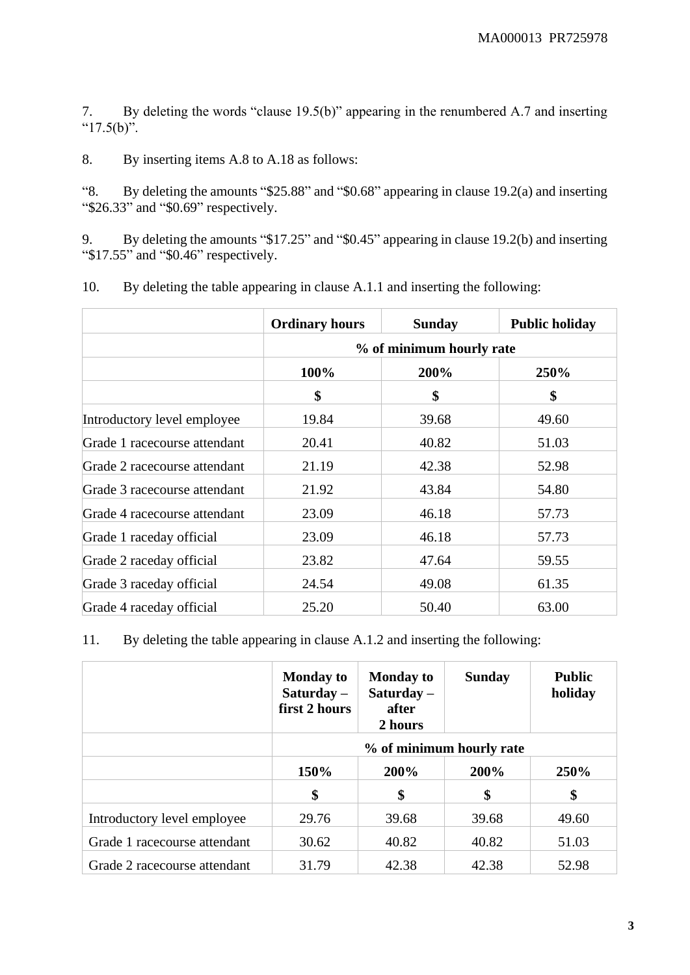7. By deleting the words "clause 19.5(b)" appearing in the renumbered A.7 and inserting " $17.5(b)$ ".

8. By inserting items A.8 to A.18 as follows:

"8. By deleting the amounts "\$25.88" and "\$0.68" appearing in clause 19.2(a) and inserting "\$26.33" and "\$0.69" respectively.

9. By deleting the amounts "\$17.25" and "\$0.45" appearing in clause 19.2(b) and inserting "\$17.55" and "\$0.46" respectively.

|                              | <b>Ordinary hours</b> | <b>Sunday</b>            | <b>Public holiday</b> |  |
|------------------------------|-----------------------|--------------------------|-----------------------|--|
|                              |                       | % of minimum hourly rate |                       |  |
|                              | 100%                  | 200%                     | 250%                  |  |
|                              | \$                    | \$                       | \$                    |  |
| Introductory level employee  | 19.84                 | 39.68                    | 49.60                 |  |
| Grade 1 racecourse attendant | 20.41                 | 40.82                    | 51.03                 |  |
| Grade 2 racecourse attendant | 21.19                 | 42.38                    | 52.98                 |  |
| Grade 3 racecourse attendant | 21.92                 | 43.84                    | 54.80                 |  |
| Grade 4 racecourse attendant | 23.09                 | 46.18                    | 57.73                 |  |
| Grade 1 raceday official     | 23.09                 | 46.18                    | 57.73                 |  |
| Grade 2 raceday official     | 23.82                 | 47.64                    | 59.55                 |  |
| Grade 3 raceday official     | 24.54                 | 49.08                    | 61.35                 |  |
| Grade 4 raceday official     | 25.20                 | 50.40                    | 63.00                 |  |

10. By deleting the table appearing in clause A.1.1 and inserting the following:

11. By deleting the table appearing in clause A.1.2 and inserting the following:

|                              | <b>Monday to</b><br>Saturday $-$<br>first 2 hours | <b>Monday to</b><br>Saturday $-$<br>after<br>2 hours | <b>Sunday</b> | <b>Public</b><br>holiday |
|------------------------------|---------------------------------------------------|------------------------------------------------------|---------------|--------------------------|
|                              |                                                   | % of minimum hourly rate                             |               |                          |
|                              | 150%                                              | 200%                                                 | 200%          | 250%                     |
|                              | \$                                                | \$                                                   | \$            | \$                       |
| Introductory level employee  | 29.76                                             | 39.68                                                | 39.68         | 49.60                    |
| Grade 1 racecourse attendant | 30.62                                             | 40.82                                                | 40.82         | 51.03                    |
| Grade 2 racecourse attendant | 31.79                                             | 42.38                                                | 42.38         | 52.98                    |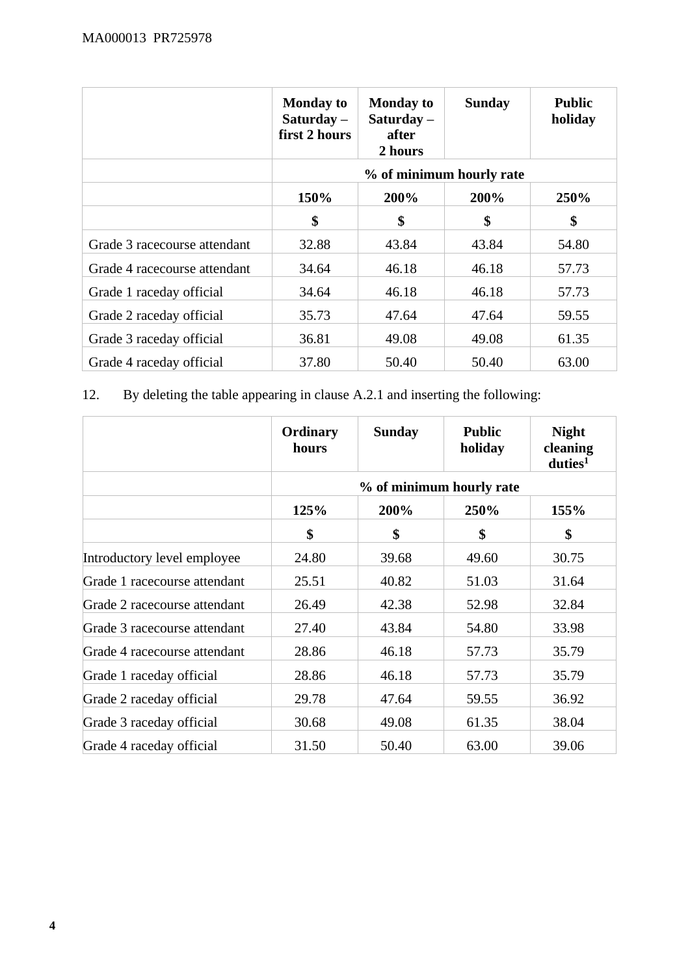|                              | <b>Monday to</b><br>Saturday $-$<br>first 2 hours | <b>Monday to</b><br>Saturday $-$<br>after<br>2 hours | <b>Sunday</b> | <b>Public</b><br>holiday |
|------------------------------|---------------------------------------------------|------------------------------------------------------|---------------|--------------------------|
|                              |                                                   | % of minimum hourly rate                             |               |                          |
|                              | 150%                                              | 200%                                                 | 200%          | 250%                     |
|                              | \$                                                | \$                                                   | \$            | \$                       |
| Grade 3 racecourse attendant | 32.88                                             | 43.84                                                | 43.84         | 54.80                    |
| Grade 4 racecourse attendant | 34.64                                             | 46.18                                                | 46.18         | 57.73                    |
| Grade 1 raceday official     | 34.64                                             | 46.18                                                | 46.18         | 57.73                    |
| Grade 2 raceday official     | 35.73                                             | 47.64                                                | 47.64         | 59.55                    |
| Grade 3 raceday official     | 36.81                                             | 49.08                                                | 49.08         | 61.35                    |
| Grade 4 raceday official     | 37.80                                             | 50.40                                                | 50.40         | 63.00                    |

## 12. By deleting the table appearing in clause A.2.1 and inserting the following:

|                              | Ordinary<br>hours | <b>Sunday</b> | <b>Public</b><br>holiday | <b>Night</b><br>cleaning<br>duties <sup>1</sup> |
|------------------------------|-------------------|---------------|--------------------------|-------------------------------------------------|
|                              |                   |               | % of minimum hourly rate |                                                 |
|                              | 125%              | 200%          | 250%                     | 155%                                            |
|                              | \$                | \$            | \$                       | \$                                              |
| Introductory level employee  | 24.80             | 39.68         | 49.60                    | 30.75                                           |
| Grade 1 racecourse attendant | 25.51             | 40.82         | 51.03                    | 31.64                                           |
| Grade 2 racecourse attendant | 26.49             | 42.38         | 52.98                    | 32.84                                           |
| Grade 3 racecourse attendant | 27.40             | 43.84         | 54.80                    | 33.98                                           |
| Grade 4 racecourse attendant | 28.86             | 46.18         | 57.73                    | 35.79                                           |
| Grade 1 raceday official     | 28.86             | 46.18         | 57.73                    | 35.79                                           |
| Grade 2 raceday official     | 29.78             | 47.64         | 59.55                    | 36.92                                           |
| Grade 3 raceday official     | 30.68             | 49.08         | 61.35                    | 38.04                                           |
| Grade 4 raceday official     | 31.50             | 50.40         | 63.00                    | 39.06                                           |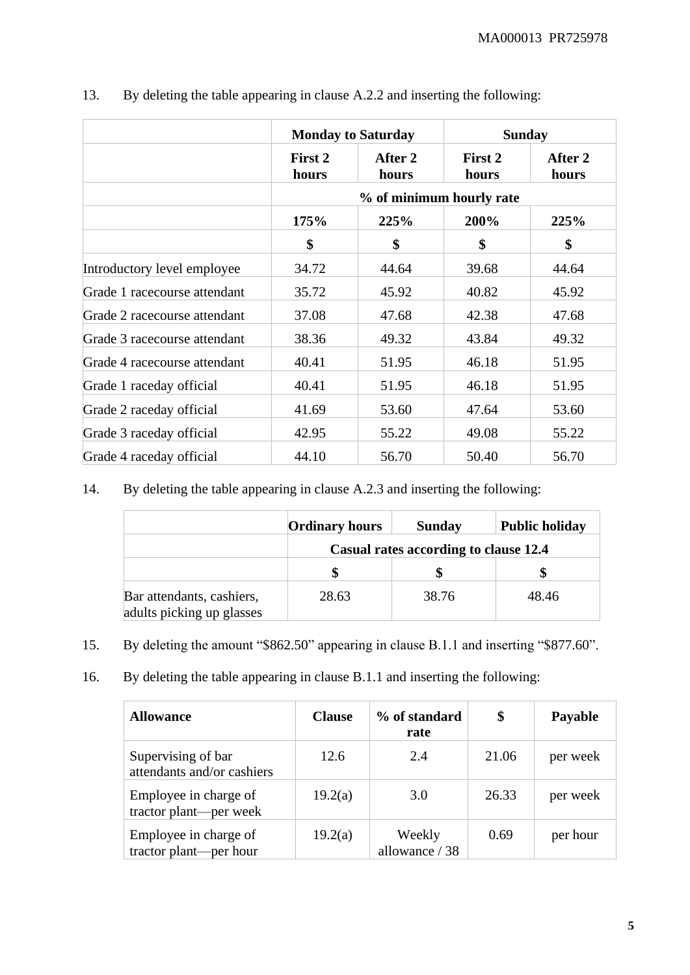|                              | <b>Monday to Saturday</b> |                  |                          | <b>Sunday</b>    |
|------------------------------|---------------------------|------------------|--------------------------|------------------|
|                              | First 2<br>hours          | After 2<br>hours | First 2<br>hours         | After 2<br>hours |
|                              |                           |                  | % of minimum hourly rate |                  |
|                              | 175%                      | 225%             | 200%                     | 225%             |
|                              | \$                        | \$               | \$                       | \$               |
| Introductory level employee  | 34.72                     | 44.64            | 39.68                    | 44.64            |
| Grade 1 racecourse attendant | 35.72                     | 45.92            | 40.82                    | 45.92            |
| Grade 2 racecourse attendant | 37.08                     | 47.68            | 42.38                    | 47.68            |
| Grade 3 racecourse attendant | 38.36                     | 49.32            | 43.84                    | 49.32            |
| Grade 4 racecourse attendant | 40.41                     | 51.95            | 46.18                    | 51.95            |
| Grade 1 raceday official     | 40.41                     | 51.95            | 46.18                    | 51.95            |
| Grade 2 raceday official     | 41.69                     | 53.60            | 47.64                    | 53.60            |
| Grade 3 raceday official     | 42.95                     | 55.22            | 49.08                    | 55.22            |
| Grade 4 raceday official     | 44.10                     | 56.70            | 50.40                    | 56.70            |

13. By deleting the table appearing in clause A.2.2 and inserting the following:

14. By deleting the table appearing in clause A.2.3 and inserting the following:

|                                                        | <b>Ordinary hours</b> | <b>Sunday</b>                         | <b>Public holiday</b> |
|--------------------------------------------------------|-----------------------|---------------------------------------|-----------------------|
|                                                        |                       | Casual rates according to clause 12.4 |                       |
|                                                        |                       |                                       |                       |
| Bar attendants, cashiers,<br>adults picking up glasses | 28.63                 | 38.76                                 | 48.46                 |

- 15. By deleting the amount "\$862.50" appearing in clause B.1.1 and inserting "\$877.60".
- 16. By deleting the table appearing in clause B.1.1 and inserting the following:

| <b>Allowance</b>                                 | <b>Clause</b> | % of standard<br>rate    | \$    | <b>Payable</b> |
|--------------------------------------------------|---------------|--------------------------|-------|----------------|
| Supervising of bar<br>attendants and/or cashiers | 12.6          | 2.4                      | 21.06 | per week       |
| Employee in charge of<br>tractor plant—per week  | 19.2(a)       | 3.0                      | 26.33 | per week       |
| Employee in charge of<br>tractor plant—per hour  | 19.2(a)       | Weekly<br>allowance / 38 | 0.69  | per hour       |